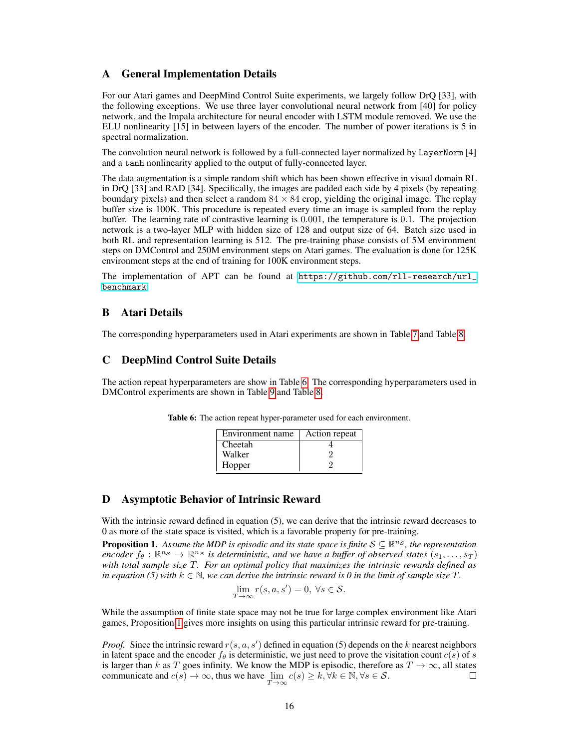### A General Implementation Details

For our Atari games and DeepMind Control Suite experiments, we largely follow DrQ [33], with the following exceptions. We use three layer convolutional neural network from [40] for policy network, and the Impala architecture for neural encoder with LSTM module removed. We use the ELU nonlinearity [15] in between layers of the encoder. The number of power iterations is 5 in spectral normalization.

The convolution neural network is followed by a full-connected layer normalized by LayerNorm [4] and a tanh nonlinearity applied to the output of fully-connected layer.

The data augmentation is a simple random shift which has been shown effective in visual domain RL in DrQ [33] and RAD [34]. Specifically, the images are padded each side by 4 pixels (by repeating boundary pixels) and then select a random  $84 \times 84$  crop, yielding the original image. The replay buffer size is 100K. This procedure is repeated every time an image is sampled from the replay buffer. The learning rate of contrastive learning is 0.001, the temperature is 0.1. The projection network is a two-layer MLP with hidden size of 128 and output size of 64. Batch size used in both RL and representation learning is 512. The pre-training phase consists of 5M environment steps on DMControl and 250M environment steps on Atari games. The evaluation is done for 125K environment steps at the end of training for 100K environment steps.

The implementation of APT can be found at [https://github.com/rll-research/url\\_](https://github.com/rll-research/url_benchmark) [benchmark](https://github.com/rll-research/url_benchmark).

### B Atari Details

The corresponding hyperparameters used in Atari experiments are shown in Table [7](#page-1-0) and Table [8.](#page-1-1)

#### C DeepMind Control Suite Details

<span id="page-0-0"></span>The action repeat hyperparameters are show in Table [6.](#page-0-0) The corresponding hyperparameters used in DMControl experiments are shown in Table [9](#page-2-0) and Table [8.](#page-1-1)

| Environment name | Action repeat |
|------------------|---------------|
| Cheetah          |               |
| Walker           |               |
| Hopper           |               |

Table 6: The action repeat hyper-parameter used for each environment.

#### D Asymptotic Behavior of Intrinsic Reward

With the intrinsic reward defined in equation (5), we can derive that the intrinsic reward decreases to 0 as more of the state space is visited, which is a favorable property for pre-training.

<span id="page-0-1"></span>**Proposition 1.** Assume the MDP is episodic and its state space is finite  $S \subseteq \mathbb{R}^{n_S}$ , the representation encoder  $f_{\theta}: \mathbb{R}^{n_{S}} \to \mathbb{R}^{n_{Z}}$  *is deterministic, and we have a buffer of observed states*  $(s_1, \ldots, s_T)$ *with total sample size* T*. For an optimal policy that maximizes the intrinsic rewards defined as in equation (5) with*  $k \in \mathbb{N}$ *, we can derive the intrinsic reward is 0 in the limit of sample size*  $T$ *.* 

$$
\lim_{T \to \infty} r(s, a, s') = 0, \ \forall s \in \mathcal{S}.
$$

While the assumption of finite state space may not be true for large complex environment like Atari games, Proposition [1](#page-0-1) gives more insights on using this particular intrinsic reward for pre-training.

*Proof.* Since the intrinsic reward  $r(s, a, s')$  defined in equation (5) depends on the k nearest neighbors in latent space and the encoder  $f_\theta$  is deterministic, we just need to prove the visitation count  $c(s)$  of s is larger than k as T goes infinity. We know the MDP is episodic, therefore as  $T \to \infty$ , all states communicate and  $c(s) \to \infty$ , thus we have  $\lim_{T \to \infty} c(s) \ge k, \forall k \in \mathbb{N}, \forall s \in \mathcal{S}$ .  $\Box$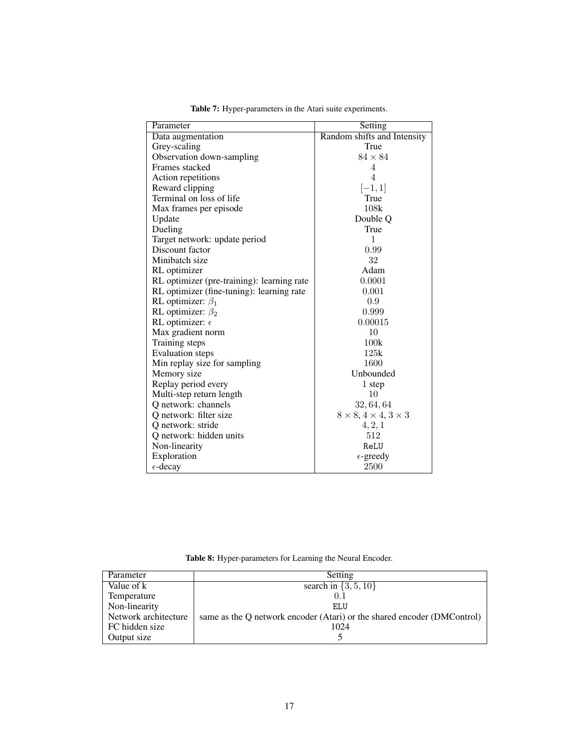<span id="page-1-0"></span>

| Parameter                                  | Setting                              |  |  |
|--------------------------------------------|--------------------------------------|--|--|
| Data augmentation                          | Random shifts and Intensity          |  |  |
| Grey-scaling                               | True                                 |  |  |
| Observation down-sampling                  | $84 \times 84$                       |  |  |
| Frames stacked                             | $\overline{4}$                       |  |  |
| Action repetitions                         | 4                                    |  |  |
| Reward clipping                            | $[-1, 1]$                            |  |  |
| Terminal on loss of life                   | True                                 |  |  |
| Max frames per episode                     | 108k                                 |  |  |
| Update                                     | Double O                             |  |  |
| Dueling                                    | True                                 |  |  |
| Target network: update period              | 1                                    |  |  |
| Discount factor                            | 0.99                                 |  |  |
| Minibatch size                             | 32                                   |  |  |
| RL optimizer                               | Adam                                 |  |  |
| RL optimizer (pre-training): learning rate | 0.0001                               |  |  |
| RL optimizer (fine-tuning): learning rate  | 0.001                                |  |  |
| RL optimizer: $\beta_1$                    | 0.9                                  |  |  |
| RL optimizer: $\beta_2$                    | 0.999                                |  |  |
| RL optimizer: $\epsilon$                   | 0.00015                              |  |  |
| Max gradient norm                          | 10                                   |  |  |
| Training steps                             | 100k                                 |  |  |
| <b>Evaluation</b> steps                    | 125k                                 |  |  |
| Min replay size for sampling               | 1600                                 |  |  |
| Memory size                                | Unbounded                            |  |  |
| Replay period every                        | 1 step                               |  |  |
| Multi-step return length                   | 10                                   |  |  |
| Q network: channels                        | 32, 64, 64                           |  |  |
| Q network: filter size                     | $8 \times 8, 4 \times 4, 3 \times 3$ |  |  |
| Q network: stride                          | 4, 2, 1                              |  |  |
| Q network: hidden units                    | 512                                  |  |  |
| Non-linearity                              | ReLU                                 |  |  |
| Exploration                                | $\epsilon$ -greedy                   |  |  |
| $\epsilon$ -decay                          | 2500                                 |  |  |

Table 7: Hyper-parameters in the Atari suite experiments.

Table 8: Hyper-parameters for Learning the Neural Encoder.

<span id="page-1-1"></span>

| Parameter            | Setting                                                                 |  |  |  |
|----------------------|-------------------------------------------------------------------------|--|--|--|
| Value of k           | search in $\{3, 5, 10\}$                                                |  |  |  |
| Temperature          | 0.1                                                                     |  |  |  |
| Non-linearity        | ELU                                                                     |  |  |  |
| Network architecture | same as the O network encoder (Atari) or the shared encoder (DMControl) |  |  |  |
| FC hidden size       | 1024                                                                    |  |  |  |
| Output size          |                                                                         |  |  |  |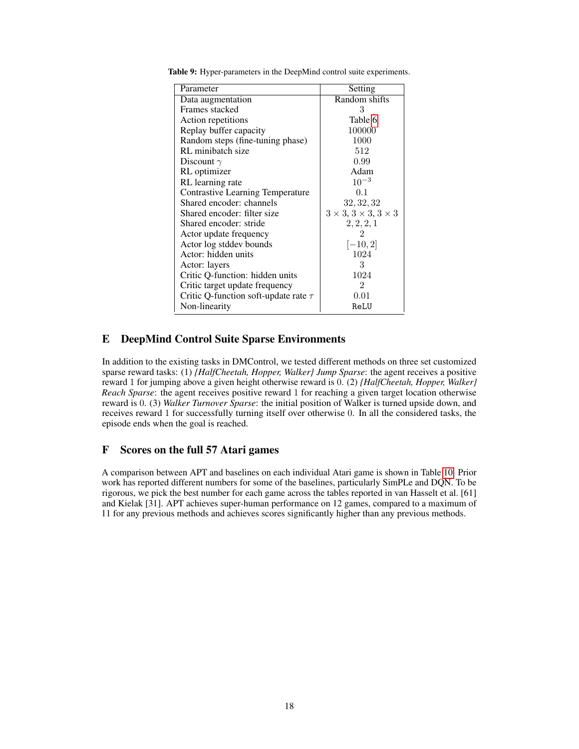| Parameter                                 | Setting                                    |  |
|-------------------------------------------|--------------------------------------------|--|
| Data augmentation                         | Random shifts                              |  |
| Frames stacked                            | 3                                          |  |
| Action repetitions                        | Table 6                                    |  |
| Replay buffer capacity                    | 100000                                     |  |
| Random steps (fine-tuning phase)          | 1000                                       |  |
| RL minibatch size                         | 512                                        |  |
| Discount $\gamma$                         | 0.99                                       |  |
| RL optimizer                              | Adam                                       |  |
| RL learning rate                          | $10^{-3}$                                  |  |
| <b>Contrastive Learning Temperature</b>   | 0.1                                        |  |
| Shared encoder: channels                  | 32, 32, 32                                 |  |
| Shared encoder: filter size               | $3 \times 3$ , $3 \times 3$ , $3 \times 3$ |  |
| Shared encoder: stride                    | 2, 2, 2, 1                                 |  |
| Actor update frequency                    | 2                                          |  |
| Actor log stddev bounds                   | $[-10, 2]$                                 |  |
| Actor: hidden units                       | 1024                                       |  |
| Actor: layers                             | 3                                          |  |
| Critic Q-function: hidden units           | 1024                                       |  |
| Critic target update frequency<br>2       |                                            |  |
| Critic Q-function soft-update rate $\tau$ | 0.01                                       |  |
| Non-linearity                             | ReLU                                       |  |

<span id="page-2-0"></span>Table 9: Hyper-parameters in the DeepMind control suite experiments.

# E DeepMind Control Suite Sparse Environments

In addition to the existing tasks in DMControl, we tested different methods on three set customized sparse reward tasks: (1) *{HalfCheetah, Hopper, Walker} Jump Sparse*: the agent receives a positive reward 1 for jumping above a given height otherwise reward is 0. (2) *{HalfCheetah, Hopper, Walker} Reach Sparse*: the agent receives positive reward 1 for reaching a given target location otherwise reward is 0. (3) *Walker Turnover Sparse*: the initial position of Walker is turned upside down, and receives reward 1 for successfully turning itself over otherwise 0. In all the considered tasks, the episode ends when the goal is reached.

# F Scores on the full 57 Atari games

A comparison between APT and baselines on each individual Atari game is shown in Table [10.](#page-3-0) Prior work has reported different numbers for some of the baselines, particularly SimPLe and DQN. To be rigorous, we pick the best number for each game across the tables reported in van Hasselt et al. [61] and Kielak [31]. APT achieves super-human performance on 12 games, compared to a maximum of 11 for any previous methods and achieves scores significantly higher than any previous methods.